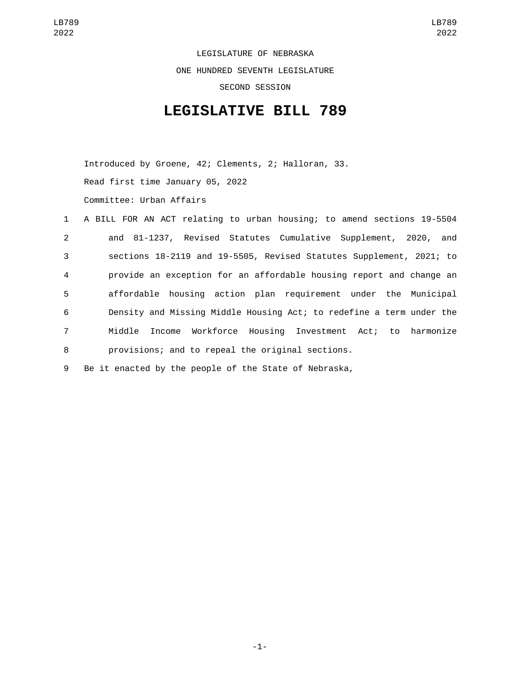LEGISLATURE OF NEBRASKA ONE HUNDRED SEVENTH LEGISLATURE SECOND SESSION

## **LEGISLATIVE BILL 789**

Introduced by Groene, 42; Clements, 2; Halloran, 33. Read first time January 05, 2022 Committee: Urban Affairs

|                | 1 A BILL FOR AN ACT relating to urban housing; to amend sections 19-5504 |
|----------------|--------------------------------------------------------------------------|
| $2^{\circ}$    | and 81-1237, Revised Statutes Cumulative Supplement, 2020, and           |
| 3 <sup>1</sup> | sections 18-2119 and 19-5505, Revised Statutes Supplement, 2021; to      |
| $\overline{4}$ | provide an exception for an affordable housing report and change an      |
| 5              | affordable housing action plan requirement under the Municipal           |
| 6              | Density and Missing Middle Housing Act; to redefine a term under the     |
| 7 <sup>7</sup> | Income Workforce Housing Investment Act; to harmonize<br>Middle          |
| 8              | provisions; and to repeal the original sections.                         |

9 Be it enacted by the people of the State of Nebraska,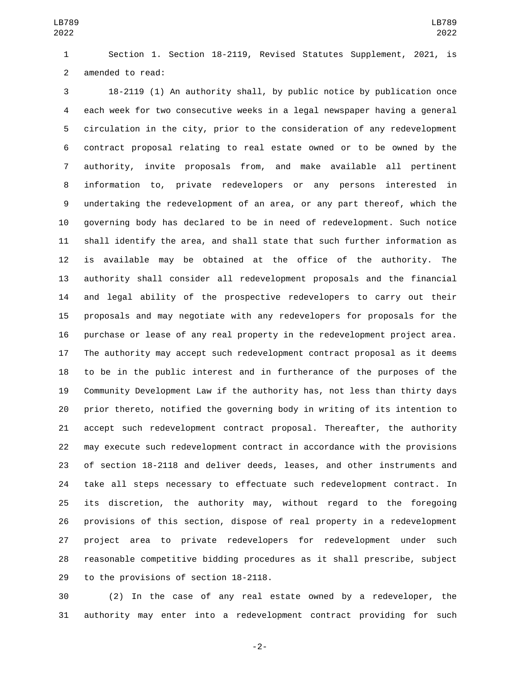Section 1. Section 18-2119, Revised Statutes Supplement, 2021, is 2 amended to read:

 18-2119 (1) An authority shall, by public notice by publication once each week for two consecutive weeks in a legal newspaper having a general circulation in the city, prior to the consideration of any redevelopment contract proposal relating to real estate owned or to be owned by the authority, invite proposals from, and make available all pertinent information to, private redevelopers or any persons interested in undertaking the redevelopment of an area, or any part thereof, which the governing body has declared to be in need of redevelopment. Such notice shall identify the area, and shall state that such further information as is available may be obtained at the office of the authority. The authority shall consider all redevelopment proposals and the financial and legal ability of the prospective redevelopers to carry out their proposals and may negotiate with any redevelopers for proposals for the purchase or lease of any real property in the redevelopment project area. The authority may accept such redevelopment contract proposal as it deems to be in the public interest and in furtherance of the purposes of the Community Development Law if the authority has, not less than thirty days prior thereto, notified the governing body in writing of its intention to accept such redevelopment contract proposal. Thereafter, the authority may execute such redevelopment contract in accordance with the provisions of section 18-2118 and deliver deeds, leases, and other instruments and take all steps necessary to effectuate such redevelopment contract. In its discretion, the authority may, without regard to the foregoing provisions of this section, dispose of real property in a redevelopment project area to private redevelopers for redevelopment under such reasonable competitive bidding procedures as it shall prescribe, subject 29 to the provisions of section 18-2118.

 (2) In the case of any real estate owned by a redeveloper, the authority may enter into a redevelopment contract providing for such

-2-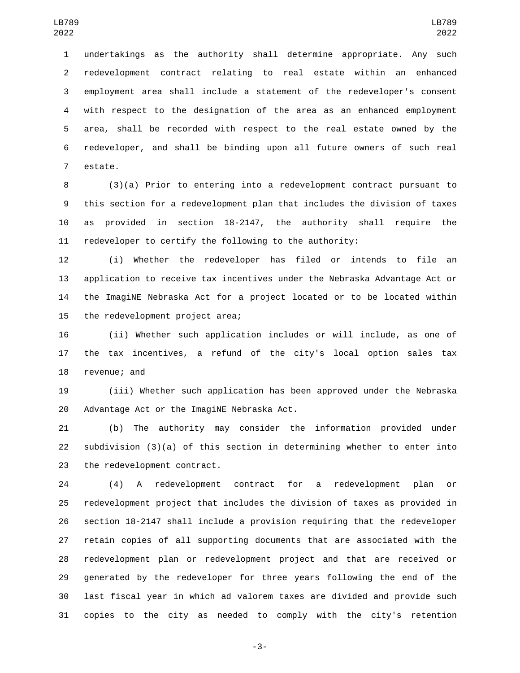undertakings as the authority shall determine appropriate. Any such redevelopment contract relating to real estate within an enhanced employment area shall include a statement of the redeveloper's consent with respect to the designation of the area as an enhanced employment area, shall be recorded with respect to the real estate owned by the redeveloper, and shall be binding upon all future owners of such real 7 estate.

 (3)(a) Prior to entering into a redevelopment contract pursuant to this section for a redevelopment plan that includes the division of taxes as provided in section 18-2147, the authority shall require the redeveloper to certify the following to the authority:

 (i) Whether the redeveloper has filed or intends to file an application to receive tax incentives under the Nebraska Advantage Act or the ImagiNE Nebraska Act for a project located or to be located within 15 the redevelopment project area;

 (ii) Whether such application includes or will include, as one of the tax incentives, a refund of the city's local option sales tax 18 revenue; and

 (iii) Whether such application has been approved under the Nebraska 20 Advantage Act or the ImagiNE Nebraska Act.

 (b) The authority may consider the information provided under subdivision (3)(a) of this section in determining whether to enter into 23 the redevelopment contract.

 (4) A redevelopment contract for a redevelopment plan or redevelopment project that includes the division of taxes as provided in section 18-2147 shall include a provision requiring that the redeveloper retain copies of all supporting documents that are associated with the redevelopment plan or redevelopment project and that are received or generated by the redeveloper for three years following the end of the last fiscal year in which ad valorem taxes are divided and provide such copies to the city as needed to comply with the city's retention

-3-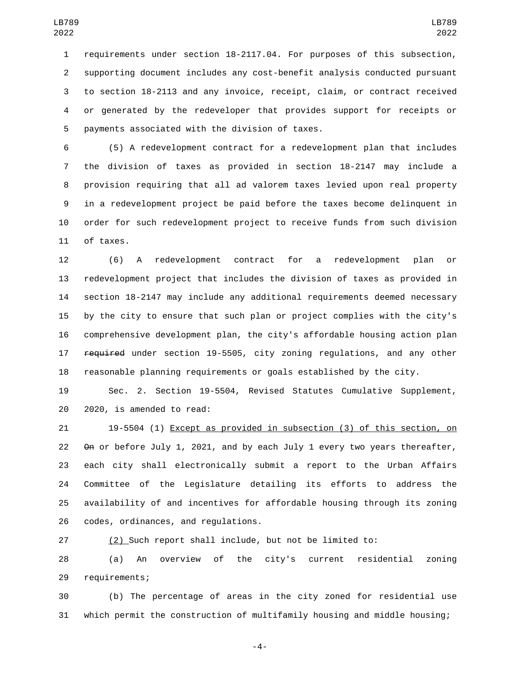requirements under section 18-2117.04. For purposes of this subsection, supporting document includes any cost-benefit analysis conducted pursuant to section 18-2113 and any invoice, receipt, claim, or contract received or generated by the redeveloper that provides support for receipts or 5 payments associated with the division of taxes.

 (5) A redevelopment contract for a redevelopment plan that includes the division of taxes as provided in section 18-2147 may include a provision requiring that all ad valorem taxes levied upon real property in a redevelopment project be paid before the taxes become delinquent in order for such redevelopment project to receive funds from such division 11 of taxes.

 (6) A redevelopment contract for a redevelopment plan or redevelopment project that includes the division of taxes as provided in section 18-2147 may include any additional requirements deemed necessary by the city to ensure that such plan or project complies with the city's comprehensive development plan, the city's affordable housing action plan **required** under section 19-5505, city zoning requlations, and any other reasonable planning requirements or goals established by the city.

 Sec. 2. Section 19-5504, Revised Statutes Cumulative Supplement, 20 2020, is amended to read:

 19-5504 (1) Except as provided in subsection (3) of this section, on On or before July 1, 2021, and by each July 1 every two years thereafter, each city shall electronically submit a report to the Urban Affairs Committee of the Legislature detailing its efforts to address the availability of and incentives for affordable housing through its zoning 26 codes, ordinances, and regulations.

(2) Such report shall include, but not be limited to:

 (a) An overview of the city's current residential zoning 29 requirements;

 (b) The percentage of areas in the city zoned for residential use which permit the construction of multifamily housing and middle housing;

-4-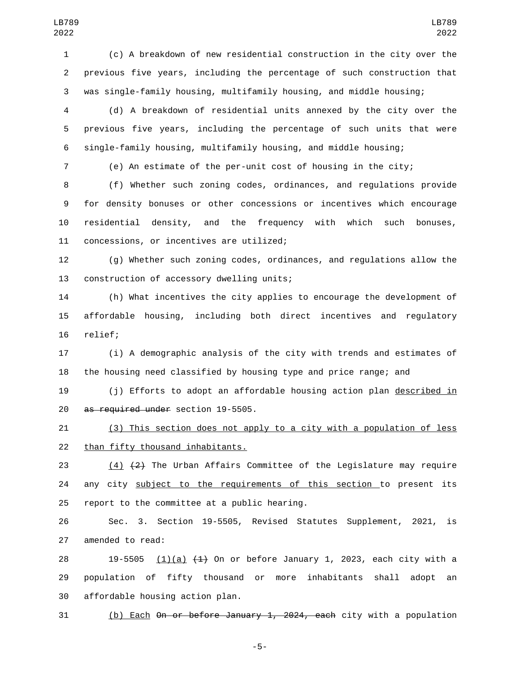(c) A breakdown of new residential construction in the city over the previous five years, including the percentage of such construction that was single-family housing, multifamily housing, and middle housing;

 (d) A breakdown of residential units annexed by the city over the previous five years, including the percentage of such units that were single-family housing, multifamily housing, and middle housing;

(e) An estimate of the per-unit cost of housing in the city;

 (f) Whether such zoning codes, ordinances, and regulations provide for density bonuses or other concessions or incentives which encourage residential density, and the frequency with which such bonuses, 11 concessions, or incentives are utilized;

 (g) Whether such zoning codes, ordinances, and regulations allow the 13 construction of accessory dwelling units;

 (h) What incentives the city applies to encourage the development of affordable housing, including both direct incentives and regulatory 16 relief;

 (i) A demographic analysis of the city with trends and estimates of the housing need classified by housing type and price range; and

 (j) Efforts to adopt an affordable housing action plan described in 20 as required under section 19-5505.

 (3) This section does not apply to a city with a population of less 22 than fifty thousand inhabitants.

23  $(4)$   $(2)$  The Urban Affairs Committee of the Legislature may require any city subject to the requirements of this section to present its 25 report to the committee at a public hearing.

 Sec. 3. Section 19-5505, Revised Statutes Supplement, 2021, is 27 amended to read:

28 19-5505  $(1)(a)$   $(1)$  On or before January 1, 2023, each city with a population of fifty thousand or more inhabitants shall adopt an 30 affordable housing action plan.

(b) Each On or before January 1, 2024, each city with a population

-5-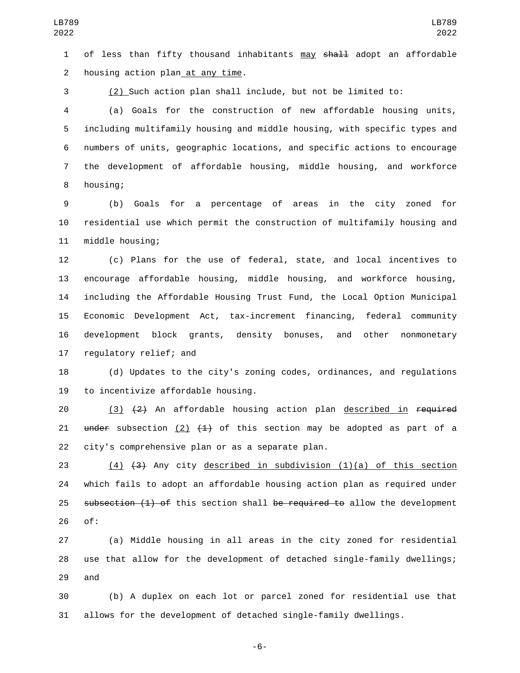1 of less than fifty thousand inhabitants may shall adopt an affordable 2 housing action plan at any time.

3 (2) Such action plan shall include, but not be limited to:

 (a) Goals for the construction of new affordable housing units, including multifamily housing and middle housing, with specific types and numbers of units, geographic locations, and specific actions to encourage the development of affordable housing, middle housing, and workforce 8 housing;

9 (b) Goals for a percentage of areas in the city zoned for 10 residential use which permit the construction of multifamily housing and 11 middle housing;

 (c) Plans for the use of federal, state, and local incentives to encourage affordable housing, middle housing, and workforce housing, including the Affordable Housing Trust Fund, the Local Option Municipal Economic Development Act, tax-increment financing, federal community development block grants, density bonuses, and other nonmonetary 17 regulatory relief; and

18 (d) Updates to the city's zoning codes, ordinances, and regulations 19 to incentivize affordable housing.

20  $(3)$   $(2)$  An affordable housing action plan described in required 21 under subsection  $(2)$   $(1)$  of this section may be adopted as part of a 22 city's comprehensive plan or as a separate plan.

23 (4) (3) Any city described in subdivision (1)(a) of this section 24 which fails to adopt an affordable housing action plan as required under 25 subsection (1) of this section shall be required to allow the development 26 of:

27 (a) Middle housing in all areas in the city zoned for residential 28 use that allow for the development of detached single-family dwellings; 29 and

30 (b) A duplex on each lot or parcel zoned for residential use that 31 allows for the development of detached single-family dwellings.

-6-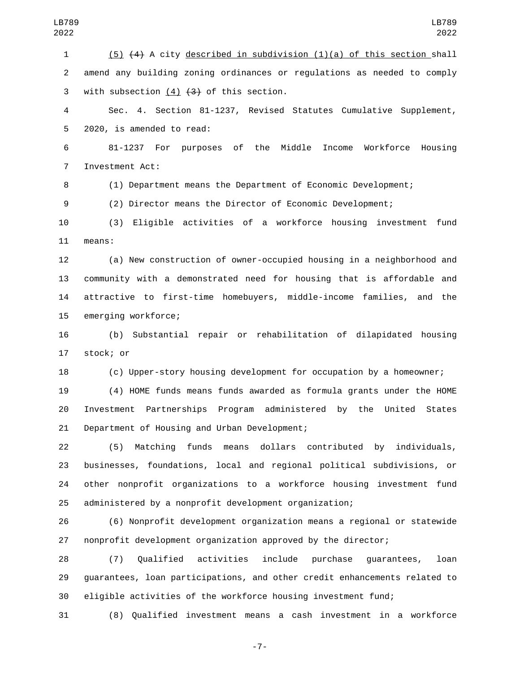(5) (4) A city described in subdivision (1)(a) of this section shall amend any building zoning ordinances or regulations as needed to comply 3 with subsection  $(4)$   $(3)$  of this section.

 Sec. 4. Section 81-1237, Revised Statutes Cumulative Supplement, 5 2020, is amended to read:

 81-1237 For purposes of the Middle Income Workforce Housing 7 Investment Act:

(1) Department means the Department of Economic Development;

(2) Director means the Director of Economic Development;

 (3) Eligible activities of a workforce housing investment fund 11 means:

 (a) New construction of owner-occupied housing in a neighborhood and community with a demonstrated need for housing that is affordable and attractive to first-time homebuyers, middle-income families, and the 15 emerging workforce;

 (b) Substantial repair or rehabilitation of dilapidated housing 17 stock; or

(c) Upper-story housing development for occupation by a homeowner;

 (4) HOME funds means funds awarded as formula grants under the HOME Investment Partnerships Program administered by the United States 21 Department of Housing and Urban Development;

 (5) Matching funds means dollars contributed by individuals, businesses, foundations, local and regional political subdivisions, or other nonprofit organizations to a workforce housing investment fund administered by a nonprofit development organization;

 (6) Nonprofit development organization means a regional or statewide nonprofit development organization approved by the director;

 (7) Qualified activities include purchase guarantees, loan guarantees, loan participations, and other credit enhancements related to eligible activities of the workforce housing investment fund;

(8) Qualified investment means a cash investment in a workforce

-7-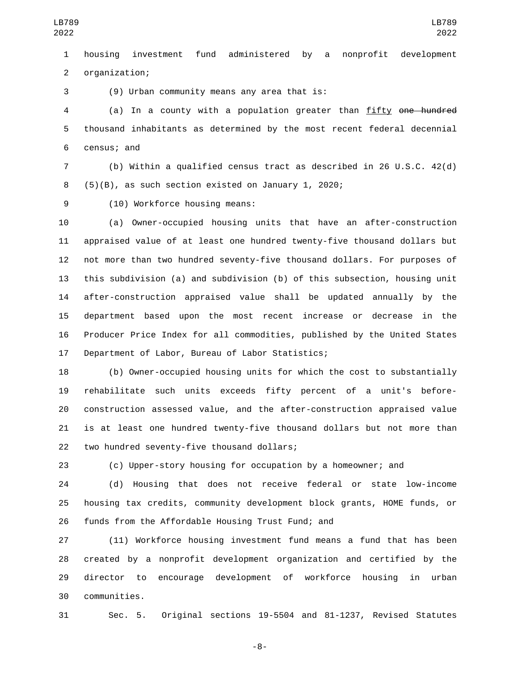housing investment fund administered by a nonprofit development organization;2

3 (9) Urban community means any area that is:

 (a) In a county with a population greater than fifty one hundred thousand inhabitants as determined by the most recent federal decennial 6 census; and

 (b) Within a qualified census tract as described in 26 U.S.C. 42(d) (5)(B), as such section existed on January 1, 2020;

9 (10) Workforce housing means:

 (a) Owner-occupied housing units that have an after-construction appraised value of at least one hundred twenty-five thousand dollars but not more than two hundred seventy-five thousand dollars. For purposes of this subdivision (a) and subdivision (b) of this subsection, housing unit after-construction appraised value shall be updated annually by the department based upon the most recent increase or decrease in the Producer Price Index for all commodities, published by the United States 17 Department of Labor, Bureau of Labor Statistics;

 (b) Owner-occupied housing units for which the cost to substantially rehabilitate such units exceeds fifty percent of a unit's before- construction assessed value, and the after-construction appraised value is at least one hundred twenty-five thousand dollars but not more than 22 two hundred seventy-five thousand dollars;

(c) Upper-story housing for occupation by a homeowner; and

 (d) Housing that does not receive federal or state low-income housing tax credits, community development block grants, HOME funds, or 26 funds from the Affordable Housing Trust Fund; and

 (11) Workforce housing investment fund means a fund that has been created by a nonprofit development organization and certified by the director to encourage development of workforce housing in urban communities.30

Sec. 5. Original sections 19-5504 and 81-1237, Revised Statutes

-8-